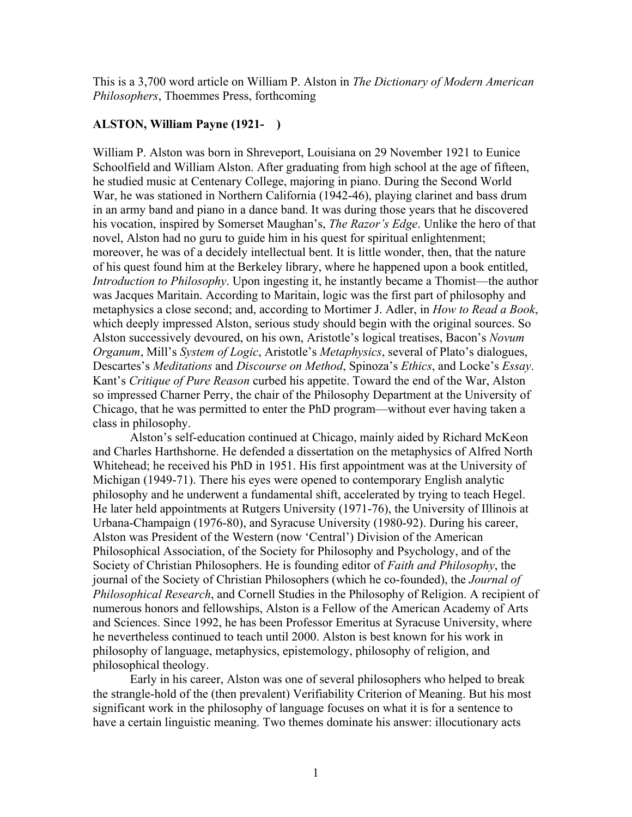This is a 3,700 word article on William P. Alston in *The Dictionary of Modern American Philosophers*, Thoemmes Press, forthcoming

## **ALSTON, William Payne (1921- )**

William P. Alston was born in Shreveport, Louisiana on 29 November 1921 to Eunice Schoolfield and William Alston. After graduating from high school at the age of fifteen, he studied music at Centenary College, majoring in piano. During the Second World War, he was stationed in Northern California (1942-46), playing clarinet and bass drum in an army band and piano in a dance band. It was during those years that he discovered his vocation, inspired by Somerset Maughan's, *The Razor's Edge*. Unlike the hero of that novel, Alston had no guru to guide him in his quest for spiritual enlightenment; moreover, he was of a decidely intellectual bent. It is little wonder, then, that the nature of his quest found him at the Berkeley library, where he happened upon a book entitled, *Introduction to Philosophy*. Upon ingesting it, he instantly became a Thomist—the author was Jacques Maritain. According to Maritain, logic was the first part of philosophy and metaphysics a close second; and, according to Mortimer J. Adler, in *How to Read a Book*, which deeply impressed Alston, serious study should begin with the original sources. So Alston successively devoured, on his own, Aristotle's logical treatises, Bacon's *Novum Organum*, Mill's *System of Logic*, Aristotle's *Metaphysics*, several of Plato's dialogues, Descartes's *Meditations* and *Discourse on Method*, Spinoza's *Ethics*, and Locke's *Essay*. Kant's *Critique of Pure Reason* curbed his appetite. Toward the end of the War, Alston so impressed Charner Perry, the chair of the Philosophy Department at the University of Chicago, that he was permitted to enter the PhD program—without ever having taken a class in philosophy.

Alston's self-education continued at Chicago, mainly aided by Richard McKeon and Charles Harthshorne. He defended a dissertation on the metaphysics of Alfred North Whitehead; he received his PhD in 1951. His first appointment was at the University of Michigan (1949-71). There his eyes were opened to contemporary English analytic philosophy and he underwent a fundamental shift, accelerated by trying to teach Hegel. He later held appointments at Rutgers University (1971-76), the University of Illinois at Urbana-Champaign (1976-80), and Syracuse University (1980-92). During his career, Alston was President of the Western (now 'Central') Division of the American Philosophical Association, of the Society for Philosophy and Psychology, and of the Society of Christian Philosophers. He is founding editor of *Faith and Philosophy*, the journal of the Society of Christian Philosophers (which he co-founded), the *Journal of Philosophical Research*, and Cornell Studies in the Philosophy of Religion. A recipient of numerous honors and fellowships, Alston is a Fellow of the American Academy of Arts and Sciences. Since 1992, he has been Professor Emeritus at Syracuse University, where he nevertheless continued to teach until 2000. Alston is best known for his work in philosophy of language, metaphysics, epistemology, philosophy of religion, and philosophical theology.

Early in his career, Alston was one of several philosophers who helped to break the strangle-hold of the (then prevalent) Verifiability Criterion of Meaning. But his most significant work in the philosophy of language focuses on what it is for a sentence to have a certain linguistic meaning. Two themes dominate his answer: illocutionary acts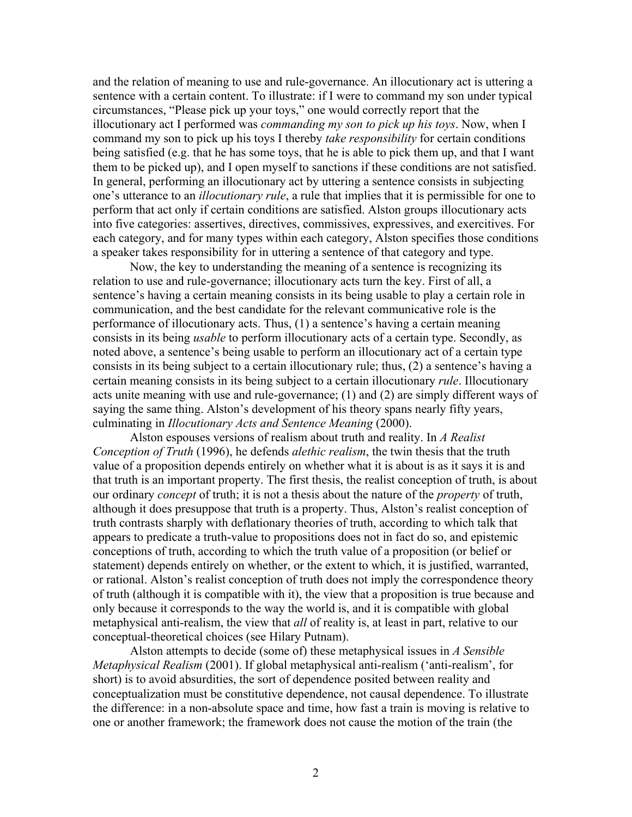and the relation of meaning to use and rule-governance. An illocutionary act is uttering a sentence with a certain content. To illustrate: if I were to command my son under typical circumstances, "Please pick up your toys," one would correctly report that the illocutionary act I performed was *commanding my son to pick up his toys*. Now, when I command my son to pick up his toys I thereby *take responsibility* for certain conditions being satisfied (e.g. that he has some toys, that he is able to pick them up, and that I want them to be picked up), and I open myself to sanctions if these conditions are not satisfied. In general, performing an illocutionary act by uttering a sentence consists in subjecting one's utterance to an *illocutionary rule*, a rule that implies that it is permissible for one to perform that act only if certain conditions are satisfied. Alston groups illocutionary acts into five categories: assertives, directives, commissives, expressives, and exercitives. For each category, and for many types within each category, Alston specifies those conditions a speaker takes responsibility for in uttering a sentence of that category and type.

Now, the key to understanding the meaning of a sentence is recognizing its relation to use and rule-governance; illocutionary acts turn the key. First of all, a sentence's having a certain meaning consists in its being usable to play a certain role in communication, and the best candidate for the relevant communicative role is the performance of illocutionary acts. Thus, (1) a sentence's having a certain meaning consists in its being *usable* to perform illocutionary acts of a certain type. Secondly, as noted above, a sentence's being usable to perform an illocutionary act of a certain type consists in its being subject to a certain illocutionary rule; thus, (2) a sentence's having a certain meaning consists in its being subject to a certain illocutionary *rule*. Illocutionary acts unite meaning with use and rule-governance; (1) and (2) are simply different ways of saying the same thing. Alston's development of his theory spans nearly fifty years, culminating in *Illocutionary Acts and Sentence Meaning* (2000).

Alston espouses versions of realism about truth and reality. In *A Realist Conception of Truth* (1996), he defends *alethic realism*, the twin thesis that the truth value of a proposition depends entirely on whether what it is about is as it says it is and that truth is an important property. The first thesis, the realist conception of truth, is about our ordinary *concept* of truth; it is not a thesis about the nature of the *property* of truth, although it does presuppose that truth is a property. Thus, Alston's realist conception of truth contrasts sharply with deflationary theories of truth, according to which talk that appears to predicate a truth-value to propositions does not in fact do so, and epistemic conceptions of truth, according to which the truth value of a proposition (or belief or statement) depends entirely on whether, or the extent to which, it is justified, warranted, or rational. Alston's realist conception of truth does not imply the correspondence theory of truth (although it is compatible with it), the view that a proposition is true because and only because it corresponds to the way the world is, and it is compatible with global metaphysical anti-realism, the view that *all* of reality is, at least in part, relative to our conceptual-theoretical choices (see Hilary Putnam).

Alston attempts to decide (some of) these metaphysical issues in *A Sensible Metaphysical Realism* (2001). If global metaphysical anti-realism ('anti-realism', for short) is to avoid absurdities, the sort of dependence posited between reality and conceptualization must be constitutive dependence, not causal dependence. To illustrate the difference: in a non-absolute space and time, how fast a train is moving is relative to one or another framework; the framework does not cause the motion of the train (the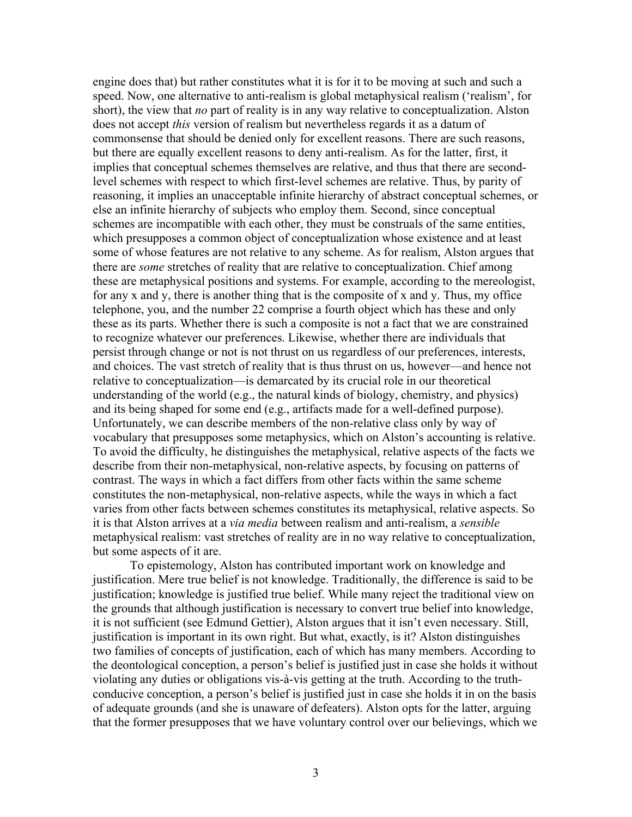engine does that) but rather constitutes what it is for it to be moving at such and such a speed. Now, one alternative to anti-realism is global metaphysical realism ('realism', for short), the view that *no* part of reality is in any way relative to conceptualization. Alston does not accept *this* version of realism but nevertheless regards it as a datum of commonsense that should be denied only for excellent reasons. There are such reasons, but there are equally excellent reasons to deny anti-realism. As for the latter, first, it implies that conceptual schemes themselves are relative, and thus that there are secondlevel schemes with respect to which first-level schemes are relative. Thus, by parity of reasoning, it implies an unacceptable infinite hierarchy of abstract conceptual schemes, or else an infinite hierarchy of subjects who employ them. Second, since conceptual schemes are incompatible with each other, they must be construals of the same entities, which presupposes a common object of conceptualization whose existence and at least some of whose features are not relative to any scheme. As for realism, Alston argues that there are *some* stretches of reality that are relative to conceptualization. Chief among these are metaphysical positions and systems. For example, according to the mereologist, for any x and y, there is another thing that is the composite of x and y. Thus, my office telephone, you, and the number 22 comprise a fourth object which has these and only these as its parts. Whether there is such a composite is not a fact that we are constrained to recognize whatever our preferences. Likewise, whether there are individuals that persist through change or not is not thrust on us regardless of our preferences, interests, and choices. The vast stretch of reality that is thus thrust on us, however—and hence not relative to conceptualization—is demarcated by its crucial role in our theoretical understanding of the world (e.g., the natural kinds of biology, chemistry, and physics) and its being shaped for some end (e.g., artifacts made for a well-defined purpose). Unfortunately, we can describe members of the non-relative class only by way of vocabulary that presupposes some metaphysics, which on Alston's accounting is relative. To avoid the difficulty, he distinguishes the metaphysical, relative aspects of the facts we describe from their non-metaphysical, non-relative aspects, by focusing on patterns of contrast. The ways in which a fact differs from other facts within the same scheme constitutes the non-metaphysical, non-relative aspects, while the ways in which a fact varies from other facts between schemes constitutes its metaphysical, relative aspects. So it is that Alston arrives at a *via media* between realism and anti-realism, a *sensible* metaphysical realism: vast stretches of reality are in no way relative to conceptualization, but some aspects of it are.

To epistemology, Alston has contributed important work on knowledge and justification. Mere true belief is not knowledge. Traditionally, the difference is said to be justification; knowledge is justified true belief. While many reject the traditional view on the grounds that although justification is necessary to convert true belief into knowledge, it is not sufficient (see Edmund Gettier), Alston argues that it isn't even necessary. Still, justification is important in its own right. But what, exactly, is it? Alston distinguishes two families of concepts of justification, each of which has many members. According to the deontological conception, a person's belief is justified just in case she holds it without violating any duties or obligations vis-à-vis getting at the truth. According to the truthconducive conception, a person's belief is justified just in case she holds it in on the basis of adequate grounds (and she is unaware of defeaters). Alston opts for the latter, arguing that the former presupposes that we have voluntary control over our believings, which we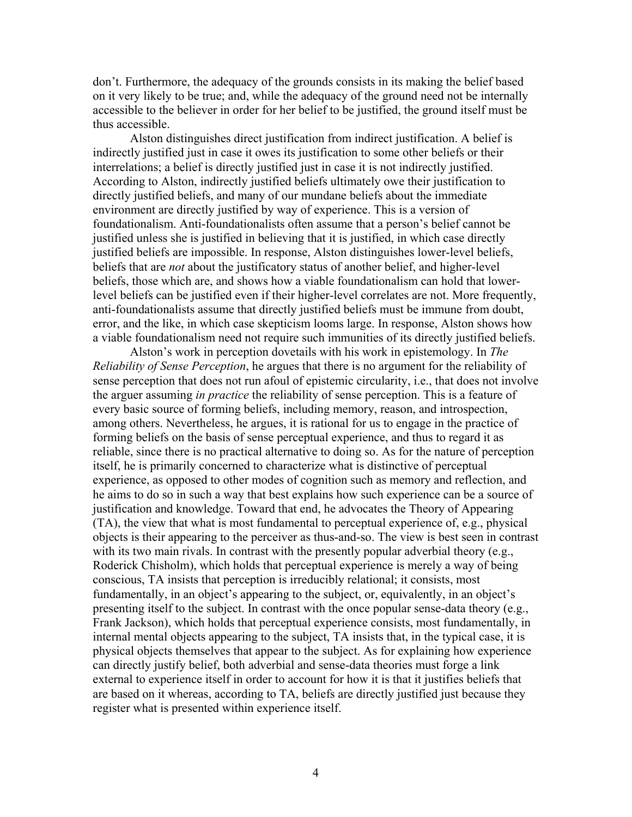don't. Furthermore, the adequacy of the grounds consists in its making the belief based on it very likely to be true; and, while the adequacy of the ground need not be internally accessible to the believer in order for her belief to be justified, the ground itself must be thus accessible.

Alston distinguishes direct justification from indirect justification. A belief is indirectly justified just in case it owes its justification to some other beliefs or their interrelations; a belief is directly justified just in case it is not indirectly justified. According to Alston, indirectly justified beliefs ultimately owe their justification to directly justified beliefs, and many of our mundane beliefs about the immediate environment are directly justified by way of experience. This is a version of foundationalism. Anti-foundationalists often assume that a person's belief cannot be justified unless she is justified in believing that it is justified, in which case directly justified beliefs are impossible. In response, Alston distinguishes lower-level beliefs, beliefs that are *not* about the justificatory status of another belief, and higher-level beliefs, those which are, and shows how a viable foundationalism can hold that lowerlevel beliefs can be justified even if their higher-level correlates are not. More frequently, anti-foundationalists assume that directly justified beliefs must be immune from doubt, error, and the like, in which case skepticism looms large. In response, Alston shows how a viable foundationalism need not require such immunities of its directly justified beliefs.

Alston's work in perception dovetails with his work in epistemology. In *The Reliability of Sense Perception*, he argues that there is no argument for the reliability of sense perception that does not run afoul of epistemic circularity, i.e., that does not involve the arguer assuming *in practice* the reliability of sense perception. This is a feature of every basic source of forming beliefs, including memory, reason, and introspection, among others. Nevertheless, he argues, it is rational for us to engage in the practice of forming beliefs on the basis of sense perceptual experience, and thus to regard it as reliable, since there is no practical alternative to doing so. As for the nature of perception itself, he is primarily concerned to characterize what is distinctive of perceptual experience, as opposed to other modes of cognition such as memory and reflection, and he aims to do so in such a way that best explains how such experience can be a source of justification and knowledge. Toward that end, he advocates the Theory of Appearing (TA), the view that what is most fundamental to perceptual experience of, e.g., physical objects is their appearing to the perceiver as thus-and-so. The view is best seen in contrast with its two main rivals. In contrast with the presently popular adverbial theory (e.g., Roderick Chisholm), which holds that perceptual experience is merely a way of being conscious, TA insists that perception is irreducibly relational; it consists, most fundamentally, in an object's appearing to the subject, or, equivalently, in an object's presenting itself to the subject. In contrast with the once popular sense-data theory (e.g., Frank Jackson), which holds that perceptual experience consists, most fundamentally, in internal mental objects appearing to the subject, TA insists that, in the typical case, it is physical objects themselves that appear to the subject. As for explaining how experience can directly justify belief, both adverbial and sense-data theories must forge a link external to experience itself in order to account for how it is that it justifies beliefs that are based on it whereas, according to TA, beliefs are directly justified just because they register what is presented within experience itself.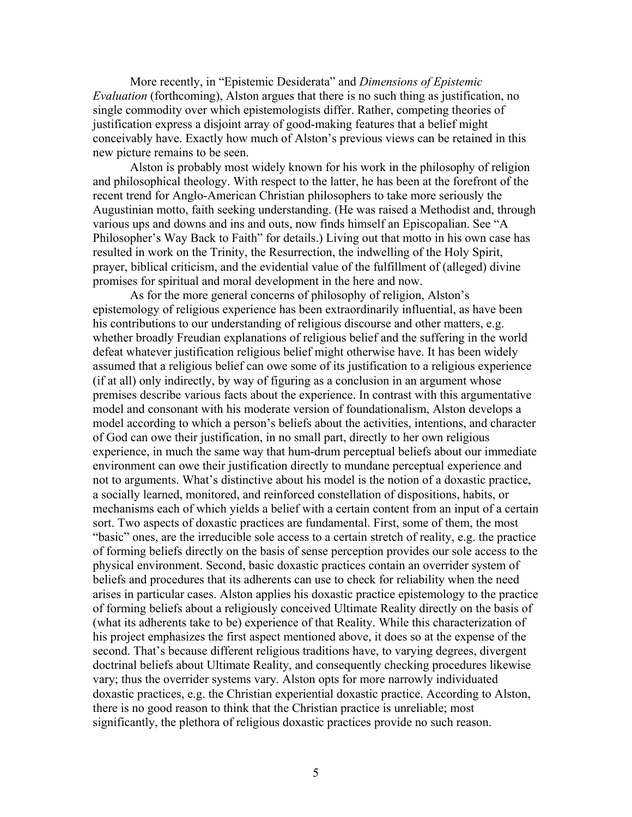More recently, in "Epistemic Desiderata" and *Dimensions of Epistemic Evaluation* (forthcoming), Alston argues that there is no such thing as justification, no single commodity over which epistemologists differ. Rather, competing theories of justification express a disjoint array of good-making features that a belief might conceivably have. Exactly how much of Alston's previous views can be retained in this new picture remains to be seen.

Alston is probably most widely known for his work in the philosophy of religion and philosophical theology. With respect to the latter, he has been at the forefront of the recent trend for Anglo-American Christian philosophers to take more seriously the Augustinian motto, faith seeking understanding. (He was raised a Methodist and, through various ups and downs and ins and outs, now finds himself an Episcopalian. See "A Philosopher's Way Back to Faith" for details.) Living out that motto in his own case has resulted in work on the Trinity, the Resurrection, the indwelling of the Holy Spirit, prayer, biblical criticism, and the evidential value of the fulfillment of (alleged) divine promises for spiritual and moral development in the here and now.

As for the more general concerns of philosophy of religion, Alston's epistemology of religious experience has been extraordinarily influential, as have been his contributions to our understanding of religious discourse and other matters, e.g. whether broadly Freudian explanations of religious belief and the suffering in the world defeat whatever justification religious belief might otherwise have. It has been widely assumed that a religious belief can owe some of its justification to a religious experience (if at all) only indirectly, by way of figuring as a conclusion in an argument whose premises describe various facts about the experience. In contrast with this argumentative model and consonant with his moderate version of foundationalism, Alston develops a model according to which a person's beliefs about the activities, intentions, and character of God can owe their justification, in no small part, directly to her own religious experience, in much the same way that hum-drum perceptual beliefs about our immediate environment can owe their justification directly to mundane perceptual experience and not to arguments. What's distinctive about his model is the notion of a doxastic practice, a socially learned, monitored, and reinforced constellation of dispositions, habits, or mechanisms each of which yields a belief with a certain content from an input of a certain sort. Two aspects of doxastic practices are fundamental. First, some of them, the most "basic" ones, are the irreducible sole access to a certain stretch of reality, e.g. the practice of forming beliefs directly on the basis of sense perception provides our sole access to the physical environment. Second, basic doxastic practices contain an overrider system of beliefs and procedures that its adherents can use to check for reliability when the need arises in particular cases. Alston applies his doxastic practice epistemology to the practice of forming beliefs about a religiously conceived Ultimate Reality directly on the basis of (what its adherents take to be) experience of that Reality. While this characterization of his project emphasizes the first aspect mentioned above, it does so at the expense of the second. That's because different religious traditions have, to varying degrees, divergent doctrinal beliefs about Ultimate Reality, and consequently checking procedures likewise vary; thus the overrider systems vary. Alston opts for more narrowly individuated doxastic practices, e.g. the Christian experiential doxastic practice. According to Alston, there is no good reason to think that the Christian practice is unreliable; most significantly, the plethora of religious doxastic practices provide no such reason.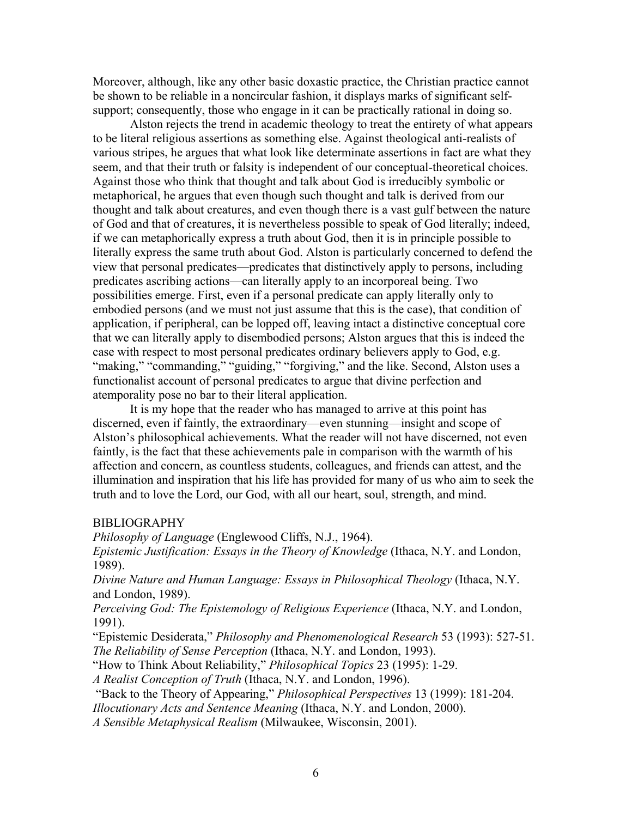Moreover, although, like any other basic doxastic practice, the Christian practice cannot be shown to be reliable in a noncircular fashion, it displays marks of significant selfsupport; consequently, those who engage in it can be practically rational in doing so.

Alston rejects the trend in academic theology to treat the entirety of what appears to be literal religious assertions as something else. Against theological anti-realists of various stripes, he argues that what look like determinate assertions in fact are what they seem, and that their truth or falsity is independent of our conceptual-theoretical choices. Against those who think that thought and talk about God is irreducibly symbolic or metaphorical, he argues that even though such thought and talk is derived from our thought and talk about creatures, and even though there is a vast gulf between the nature of God and that of creatures, it is nevertheless possible to speak of God literally; indeed, if we can metaphorically express a truth about God, then it is in principle possible to literally express the same truth about God. Alston is particularly concerned to defend the view that personal predicates—predicates that distinctively apply to persons, including predicates ascribing actions—can literally apply to an incorporeal being. Two possibilities emerge. First, even if a personal predicate can apply literally only to embodied persons (and we must not just assume that this is the case), that condition of application, if peripheral, can be lopped off, leaving intact a distinctive conceptual core that we can literally apply to disembodied persons; Alston argues that this is indeed the case with respect to most personal predicates ordinary believers apply to God, e.g. "making," "commanding," "guiding," "forgiving," and the like. Second, Alston uses a functionalist account of personal predicates to argue that divine perfection and atemporality pose no bar to their literal application.

It is my hope that the reader who has managed to arrive at this point has discerned, even if faintly, the extraordinary—even stunning—insight and scope of Alston's philosophical achievements. What the reader will not have discerned, not even faintly, is the fact that these achievements pale in comparison with the warmth of his affection and concern, as countless students, colleagues, and friends can attest, and the illumination and inspiration that his life has provided for many of us who aim to seek the truth and to love the Lord, our God, with all our heart, soul, strength, and mind.

## BIBLIOGRAPHY

*Philosophy of Language* (Englewood Cliffs, N.J., 1964). *Epistemic Justification: Essays in the Theory of Knowledge* (Ithaca, N.Y. and London, 1989).

*Divine Nature and Human Language: Essays in Philosophical Theology* (Ithaca, N.Y. and London, 1989).

*Perceiving God: The Epistemology of Religious Experience* (Ithaca, N.Y. and London, 1991).

"Epistemic Desiderata," *Philosophy and Phenomenological Research* 53 (1993): 527-51. *The Reliability of Sense Perception* (Ithaca, N.Y. and London, 1993).

"How to Think About Reliability," *Philosophical Topics* 23 (1995): 1-29.

*A Realist Conception of Truth* (Ithaca, N.Y. and London, 1996).

 "Back to the Theory of Appearing," *Philosophical Perspectives* 13 (1999): 181-204. *Illocutionary Acts and Sentence Meaning* (Ithaca, N.Y. and London, 2000).

*A Sensible Metaphysical Realism* (Milwaukee, Wisconsin, 2001).